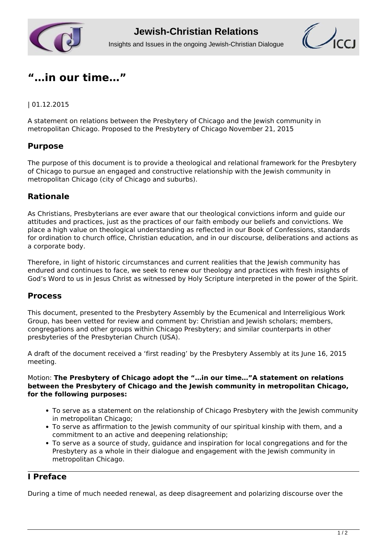

Insights and Issues in the ongoing Jewish-Christian Dialogue



# **["…in our time…"](http://www.jcrelations.net/in_our_time.5198.0.html?L=3)**

#### | 01.12.2015

A statement on relations between the Presbytery of Chicago and the Jewish community in metropolitan Chicago. Proposed to the Presbytery of Chicago November 21, 2015

## **Purpose**

The purpose of this document is to provide a theological and relational framework for the Presbytery of Chicago to pursue an engaged and constructive relationship with the Jewish community in metropolitan Chicago (city of Chicago and suburbs).

# **Rationale**

As Christians, Presbyterians are ever aware that our theological convictions inform and guide our attitudes and practices, just as the practices of our faith embody our beliefs and convictions. We place a high value on theological understanding as reflected in our Book of Confessions, standards for ordination to church office, Christian education, and in our discourse, deliberations and actions as a corporate body.

Therefore, in light of historic circumstances and current realities that the Jewish community has endured and continues to face, we seek to renew our theology and practices with fresh insights of God's Word to us in Jesus Christ as witnessed by Holy Scripture interpreted in the power of the Spirit.

#### **Process**

This document, presented to the Presbytery Assembly by the Ecumenical and Interreligious Work Group, has been vetted for review and comment by: Christian and Jewish scholars; members, congregations and other groups within Chicago Presbytery; and similar counterparts in other presbyteries of the Presbyterian Church (USA).

A draft of the document received a 'first reading' by the Presbytery Assembly at its June 16, 2015 meeting.

#### Motion: **The Presbytery of Chicago adopt the "…in our time…"A statement on relations between the Presbytery of Chicago and the Jewish community in metropolitan Chicago, for the following purposes:**

- To serve as a statement on the relationship of Chicago Presbytery with the Jewish community in metropolitan Chicago;
- To serve as affirmation to the Jewish community of our spiritual kinship with them, and a commitment to an active and deepening relationship;
- To serve as a source of study, guidance and inspiration for local congregations and for the Presbytery as a whole in their dialogue and engagement with the Jewish community in metropolitan Chicago.

## **I Preface**

During a time of much needed renewal, as deep disagreement and polarizing discourse over the